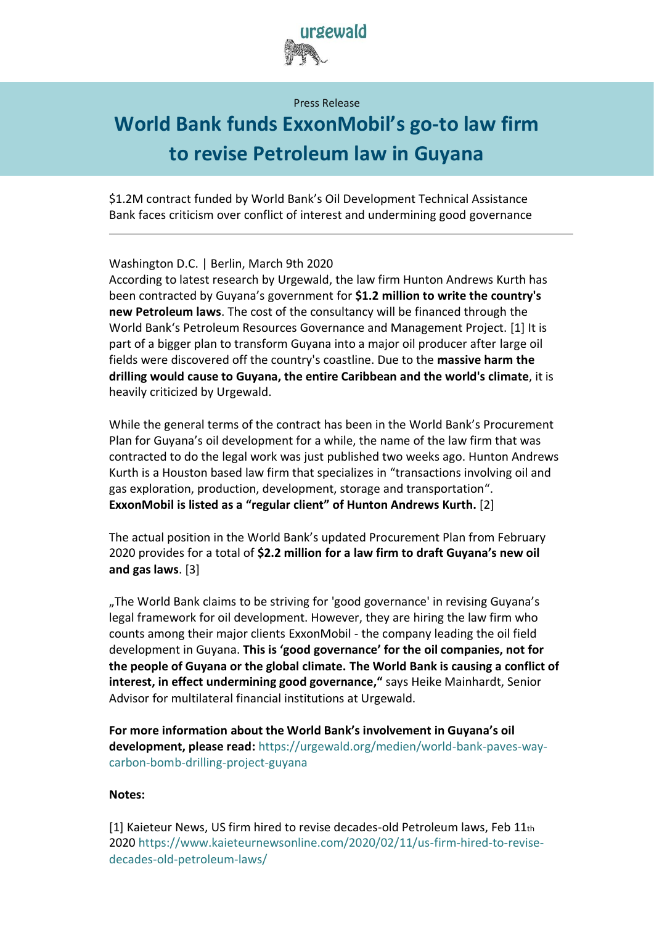

Press Release

## **World Bank funds ExxonMobil's go-to law firm to revise Petroleum law in Guyana**

\$1.2M contract funded by World Bank's Oil Development Technical Assistance Bank faces criticism over conflict of interest and undermining good governance

Washington D.C. | Berlin, March 9th 2020

According to latest research by Urgewald, the law firm Hunton Andrews Kurth has been contracted by Guyana's government for **\$1.2 million to write the country's new Petroleum laws**. The cost of the consultancy will be financed through the World Bank's Petroleum Resources Governance and Management Project. [1] It is part of a bigger plan to transform Guyana into a major oil producer after large oil fields were discovered off the country's coastline. Due to the **massive harm the drilling would cause to Guyana, the entire Caribbean and the world's climate**, it is heavily criticized by Urgewald.

While the general terms of the contract has been in the World Bank's Procurement Plan for Guyana's oil development for a while, the name of the law firm that was contracted to do the legal work was just published two weeks ago. Hunton Andrews Kurth is a Houston based law firm that specializes in "transactions involving oil and gas exploration, production, development, storage and transportation". **ExxonMobil is listed as a "regular client" of Hunton Andrews Kurth.** [2]

The actual position in the World Bank's updated Procurement Plan from February 2020 provides for a total of **\$2.2 million for a law firm to draft Guyana's new oil and gas laws**. [3]

"The World Bank claims to be striving for 'good governance' in revising Guyana's legal framework for oil development. However, they are hiring the law firm who counts among their major clients ExxonMobil - the company leading the oil field development in Guyana. **This is 'good governance' for the oil companies, not for the people of Guyana or the global climate. The World Bank is causing a conflict of interest, in effect undermining good governance,"** says Heike Mainhardt, Senior Advisor for multilateral financial institutions at Urgewald.

**For more information about the World Bank's involvement in Guyana's oil development, please read:** [https://urgewald.org/medien/world-bank-paves-way](https://urgewald.org/medien/world-bank-paves-way-carbon-bomb-drilling-project-guyana)[carbon-bomb-drilling-project-guyana](https://urgewald.org/medien/world-bank-paves-way-carbon-bomb-drilling-project-guyana)

## **Notes:**

[1] Kaieteur News, US firm hired to revise decades-old Petroleum laws, Feb 11th 2020 [https://www.kaieteurnewsonline.com/2020/02/11/us-firm-hired-to-revise](https://www.kaieteurnewsonline.com/2020/02/11/us-firm-hired-to-revise-decades-old-petroleum-laws/)[decades-old-petroleum-laws/](https://www.kaieteurnewsonline.com/2020/02/11/us-firm-hired-to-revise-decades-old-petroleum-laws/)